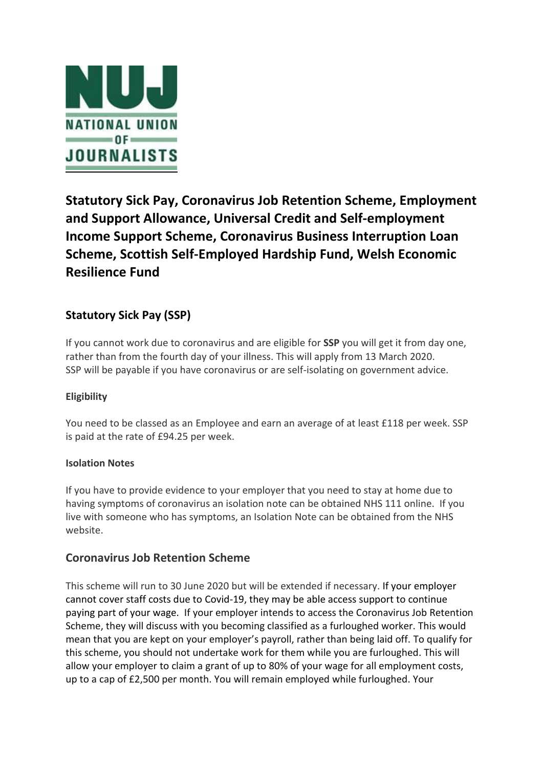

# **Statutory Sick Pay, Coronavirus Job Retention Scheme, Employment and Support Allowance, Universal Credit and Self-employment Income Support Scheme, Coronavirus Business Interruption Loan Scheme, Scottish Self-Employed Hardship Fund, Welsh Economic Resilience Fund**

## **Statutory Sick Pay (SSP)**

If you cannot work due to coronavirus and are eligible for **SSP** you will get it from day one, rather than from the fourth day of your illness. This will apply from 13 March 2020. SSP will be payable if you have coronavirus or are self-isolating on government advice.

## **Eligibility**

You need to be classed as an Employee and earn an average of at least £118 per week. SSP is paid at the rate of £94.25 per week.

## **Isolation Notes**

If you have to provide evidence to your employer that you need to stay at home due to having symptoms of coronavirus an isolation note can be obtained NHS 111 online. If you live with someone who has symptoms, an Isolation Note can be obtained from the NHS website.

## **Coronavirus Job Retention Scheme**

This scheme will run to 30 June 2020 but will be extended if necessary. If your employer cannot cover staff costs due to Covid-19, they may be able access support to continue paying part of your wage. If your employer intends to access the Coronavirus Job Retention Scheme, they will discuss with you becoming classified as a furloughed worker. This would mean that you are kept on your employer's payroll, rather than being laid off. To qualify for this scheme, you should not undertake work for them while you are furloughed. This will allow your employer to claim a grant of up to 80% of your wage for all employment costs, up to a cap of £2,500 per month. You will remain employed while furloughed. Your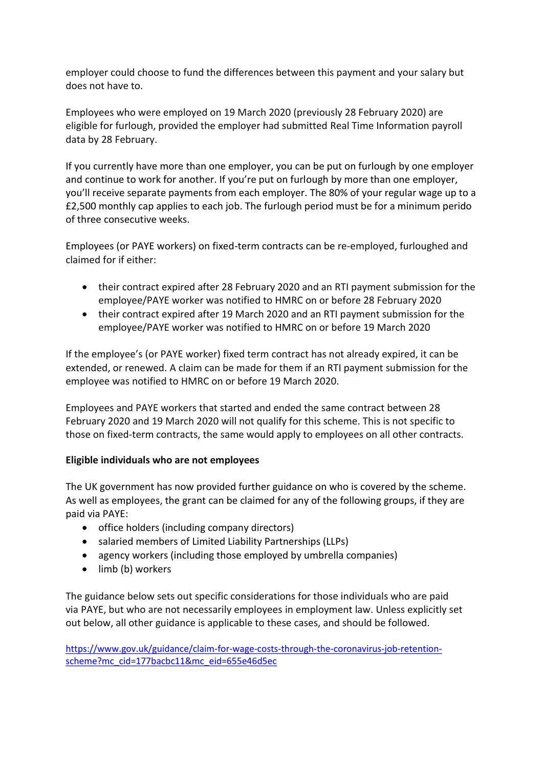employer could choose to fund the differences between this payment and your salary but does not have to.

Employees who were employed on 19 March 2020 (previously 28 February 2020) are eligible for furlough, provided the employer had submitted Real Time Information payroll data by 28 February.

If you currently have more than one employer, you can be put on furlough by one employer and continue to work for another. If you're put on furlough by more than one employer, you'll receive separate payments from each employer. The 80% of your regular wage up to a £2,500 monthly cap applies to each job. The furlough period must be for a minimum perido of three consecutive weeks.

Employees (or PAYE workers) on fixed-term contracts can be re-employed, furloughed and claimed for if either:

- their contract expired after 28 February 2020 and an RTI payment submission for the employee/PAYE worker was notified to HMRC on or before 28 February 2020
- their contract expired after 19 March 2020 and an RTI payment submission for the employee/PAYE worker was notified to HMRC on or before 19 March 2020

If the employee's (or PAYE worker) fixed term contract has not already expired, it can be extended, or renewed. A claim can be made for them if an RTI payment submission for the employee was notified to HMRC on or before 19 March 2020.

Employees and PAYE workers that started and ended the same contract between 28 February 2020 and 19 March 2020 will not qualify for this scheme. This is not specific to those on fixed-term contracts, the same would apply to employees on all other contracts.

## **Eligible individuals who are not employees**

The UK government has now provided further guidance on who is covered by the scheme. As well as employees, the grant can be claimed for any of the following groups, if they are paid via PAYE:

- office holders (including company directors)
- salaried members of Limited Liability Partnerships (LLPs)
- agency workers (including those employed by umbrella companies)
- limb (b) workers

The guidance below sets out specific considerations for those individuals who are paid via PAYE, but who are not necessarily employees in employment law. Unless explicitly set out below, all other guidance is applicable to these cases, and should be followed.

[https://www.gov.uk/guidance/claim-for-wage-costs-through-the-coronavirus-job-retention](https://www.gov.uk/guidance/claim-for-wage-costs-through-the-coronavirus-job-retention-scheme?mc_cid=177bacbc11&mc_eid=655e46d5ec)[scheme?mc\\_cid=177bacbc11&mc\\_eid=655e46d5ec](https://www.gov.uk/guidance/claim-for-wage-costs-through-the-coronavirus-job-retention-scheme?mc_cid=177bacbc11&mc_eid=655e46d5ec)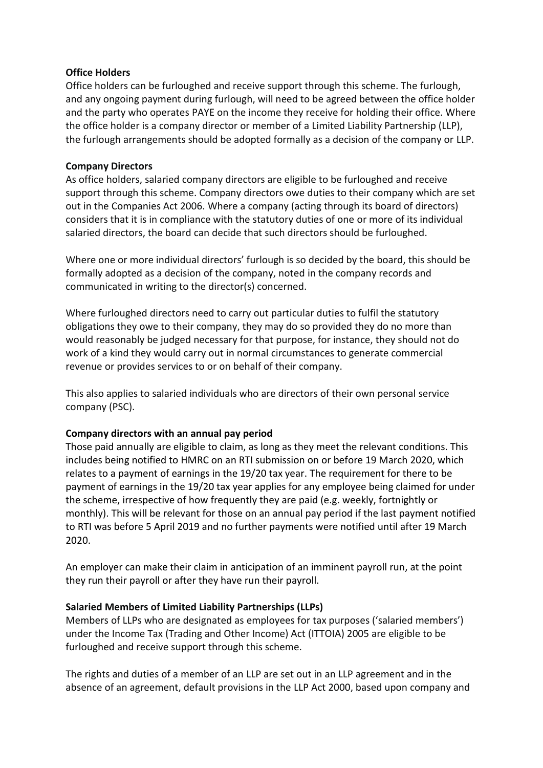#### **Office Holders**

Office holders can be furloughed and receive support through this scheme. The furlough, and any ongoing payment during furlough, will need to be agreed between the office holder and the party who operates PAYE on the income they receive for holding their office. Where the office holder is a company director or member of a Limited Liability Partnership (LLP), the furlough arrangements should be adopted formally as a decision of the company or LLP.

#### **Company Directors**

As office holders, salaried company directors are eligible to be furloughed and receive support through this scheme. Company directors owe duties to their company which are set out in the Companies Act 2006. Where a company (acting through its board of directors) considers that it is in compliance with the statutory duties of one or more of its individual salaried directors, the board can decide that such directors should be furloughed.

Where one or more individual directors' furlough is so decided by the board, this should be formally adopted as a decision of the company, noted in the company records and communicated in writing to the director(s) concerned.

Where furloughed directors need to carry out particular duties to fulfil the statutory obligations they owe to their company, they may do so provided they do no more than would reasonably be judged necessary for that purpose, for instance, they should not do work of a kind they would carry out in normal circumstances to generate commercial revenue or provides services to or on behalf of their company.

This also applies to salaried individuals who are directors of their own personal service company (PSC).

#### **Company directors with an annual pay period**

Those paid annually are eligible to claim, as long as they meet the relevant conditions. This includes being notified to HMRC on an RTI submission on or before 19 March 2020, which relates to a payment of earnings in the 19/20 tax year. The requirement for there to be payment of earnings in the 19/20 tax year applies for any employee being claimed for under the scheme, irrespective of how frequently they are paid (e.g. weekly, fortnightly or monthly). This will be relevant for those on an annual pay period if the last payment notified to RTI was before 5 April 2019 and no further payments were notified until after 19 March 2020.

An employer can make their claim in anticipation of an imminent payroll run, at the point they run their payroll or after they have run their payroll.

## **Salaried Members of Limited Liability Partnerships (LLPs)**

Members of LLPs who are designated as employees for tax purposes ('salaried members') under the Income Tax (Trading and Other Income) Act (ITTOIA) 2005 are eligible to be furloughed and receive support through this scheme.

The rights and duties of a member of an LLP are set out in an LLP agreement and in the absence of an agreement, default provisions in the LLP Act 2000, based upon company and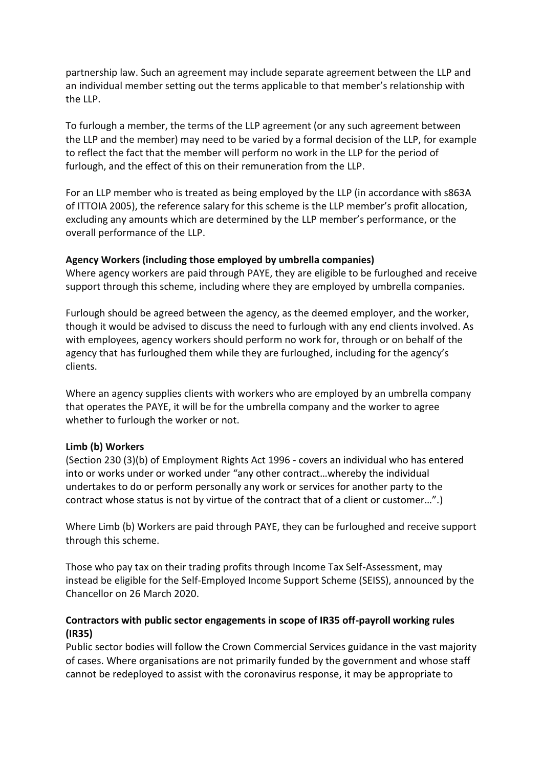partnership law. Such an agreement may include separate agreement between the LLP and an individual member setting out the terms applicable to that member's relationship with the LLP.

To furlough a member, the terms of the LLP agreement (or any such agreement between the LLP and the member) may need to be varied by a formal decision of the LLP, for example to reflect the fact that the member will perform no work in the LLP for the period of furlough, and the effect of this on their remuneration from the LLP.

For an LLP member who is treated as being employed by the LLP (in accordance with s863A of ITTOIA 2005), the reference salary for this scheme is the LLP member's profit allocation, excluding any amounts which are determined by the LLP member's performance, or the overall performance of the LLP.

#### **Agency Workers (including those employed by umbrella companies)**

Where agency workers are paid through PAYE, they are eligible to be furloughed and receive support through this scheme, including where they are employed by umbrella companies.

Furlough should be agreed between the agency, as the deemed employer, and the worker, though it would be advised to discuss the need to furlough with any end clients involved. As with employees, agency workers should perform no work for, through or on behalf of the agency that has furloughed them while they are furloughed, including for the agency's clients.

Where an agency supplies clients with workers who are employed by an umbrella company that operates the PAYE, it will be for the umbrella company and the worker to agree whether to furlough the worker or not.

#### **Limb (b) Workers**

(Section 230 (3)(b) of Employment Rights Act 1996 - covers an individual who has entered into or works under or worked under "any other contract…whereby the individual undertakes to do or perform personally any work or services for another party to the contract whose status is not by virtue of the contract that of a client or customer…".)

Where Limb (b) Workers are paid through PAYE, they can be furloughed and receive support through this scheme.

Those who pay tax on their trading profits through Income Tax Self-Assessment, may instead be eligible for the Self-Employed Income Support Scheme (SEISS), announced by the Chancellor on 26 March 2020.

## **Contractors with public sector engagements in scope of IR35 off-payroll working rules (IR35)**

Public sector bodies will follow the Crown Commercial Services guidance in the vast majority of cases. Where organisations are not primarily funded by the government and whose staff cannot be redeployed to assist with the coronavirus response, it may be appropriate to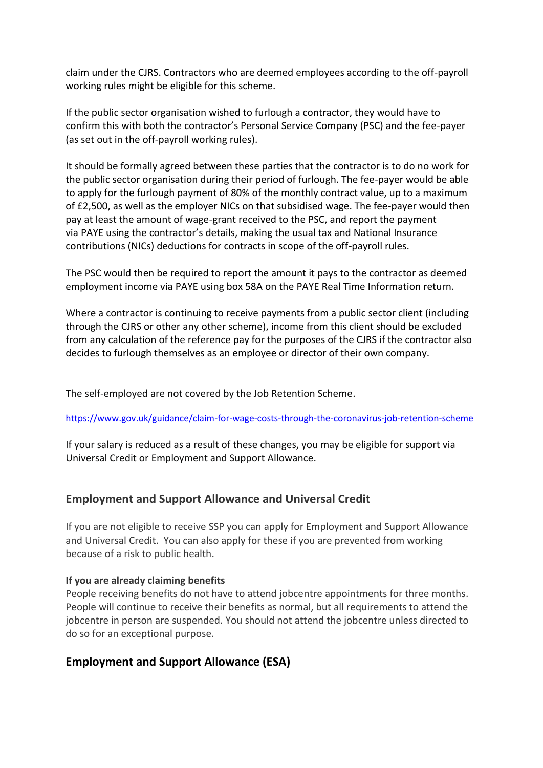claim under the CJRS. Contractors who are deemed employees according to the off-payroll working rules might be eligible for this scheme.

If the public sector organisation wished to furlough a contractor, they would have to confirm this with both the contractor's Personal Service Company (PSC) and the fee-payer (as set out in the off-payroll working rules).

It should be formally agreed between these parties that the contractor is to do no work for the public sector organisation during their period of furlough. The fee-payer would be able to apply for the furlough payment of 80% of the monthly contract value, up to a maximum of £2,500, as well as the employer NICs on that subsidised wage. The fee-payer would then pay at least the amount of wage-grant received to the PSC, and report the payment via PAYE using the contractor's details, making the usual tax and National Insurance contributions (NICs) deductions for contracts in scope of the off-payroll rules.

The PSC would then be required to report the amount it pays to the contractor as deemed employment income via PAYE using box 58A on the PAYE Real Time Information return.

Where a contractor is continuing to receive payments from a public sector client (including through the CJRS or other any other scheme), income from this client should be excluded from any calculation of the reference pay for the purposes of the CJRS if the contractor also decides to furlough themselves as an employee or director of their own company.

The self-employed are not covered by the Job Retention Scheme.

<https://www.gov.uk/guidance/claim-for-wage-costs-through-the-coronavirus-job-retention-scheme>

If your salary is reduced as a result of these changes, you may be eligible for support via Universal Credit or Employment and Support Allowance.

## **Employment and Support Allowance and Universal Credit**

If you are not eligible to receive SSP you can apply for Employment and Support Allowance and Universal Credit. You can also apply for these if you are prevented from working because of a risk to public health.

## **If you are already claiming benefits**

People receiving benefits do not have to attend jobcentre appointments for three months. People will continue to receive their benefits as normal, but all requirements to attend the jobcentre in person are suspended. You should not attend the jobcentre unless directed to do so for an exceptional purpose.

## **Employment and Support Allowance (ESA)**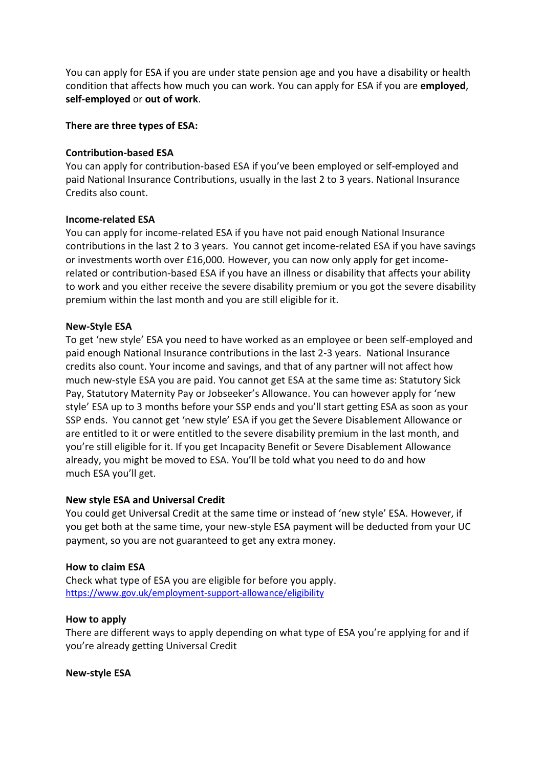You can apply for ESA if you are under state pension age and you have a disability or health condition that affects how much you can work. You can apply for ESA if you are **employed**, **self-employed** or **out of work**.

#### **There are three types of ESA:**

#### **Contribution-based ESA**

You can apply for contribution-based ESA if you've been employed or self-employed and paid National Insurance Contributions, usually in the last 2 to 3 years. National Insurance Credits also count.

#### **Income-related ESA**

You can apply for income-related ESA if you have not paid enough National Insurance contributions in the last 2 to 3 years. You cannot get income-related ESA if you have savings or investments worth over £16,000. However, you can now only apply for get incomerelated or contribution-based ESA if you have an illness or disability that affects your ability to work and you either receive the severe disability premium or you got the severe disability premium within the last month and you are still eligible for it.

#### **New-Style ESA**

To get 'new style' ESA you need to have worked as an employee or been self-employed and paid enough National Insurance contributions in the last 2-3 years. National Insurance credits also count. Your income and savings, and that of any partner will not affect how much new-style ESA you are paid. You cannot get ESA at the same time as: Statutory Sick Pay, Statutory Maternity Pay or Jobseeker's Allowance. You can however apply for 'new style' ESA up to 3 months before your SSP ends and you'll start getting ESA as soon as your SSP ends. You cannot get 'new style' ESA if you get the Severe Disablement Allowance or are entitled to it or were entitled to the severe disability premium in the last month, and you're still eligible for it. If you get Incapacity Benefit or Severe Disablement Allowance already, you might be moved to ESA. You'll be told what you need to do and how much ESA you'll get.

#### **New style ESA and Universal Credit**

You could get Universal Credit at the same time or instead of 'new style' ESA. However, if you get both at the same time, your new-style ESA payment will be deducted from your UC payment, so you are not guaranteed to get any extra money.

#### **How to claim ESA**

Check what type of ESA you are eligible for before you apply. <https://www.gov.uk/employment-support-allowance/eligibility>

#### **How to apply**

There are different ways to apply depending on what type of ESA you're applying for and if you're already getting Universal Credit

**New-style ESA**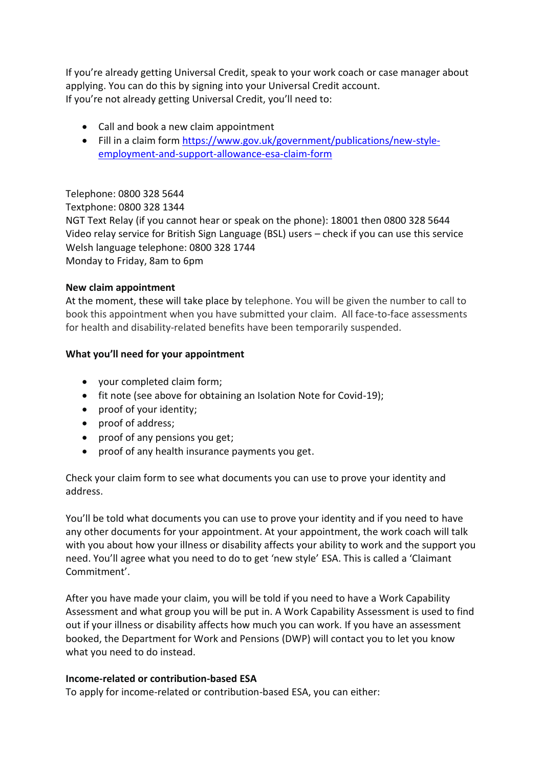If you're already getting Universal Credit, speak to your work coach or case manager about applying. You can do this by signing into your Universal Credit account. If you're not already getting Universal Credit, you'll need to:

- Call and book a new claim appointment
- Fill in a claim form [https://www.gov.uk/government/publications/new-style](https://www.gov.uk/government/publications/new-style-employment-and-support-allowance-esa-claim-form)[employment-and-support-allowance-esa-claim-form](https://www.gov.uk/government/publications/new-style-employment-and-support-allowance-esa-claim-form)

## Telephone: 0800 328 5644

Textphone: 0800 328 1344

NGT Text Relay (if you cannot hear or speak on the phone): 18001 then 0800 328 5644 Video relay service for British Sign Language (BSL) users – check if you can use this service Welsh language telephone: 0800 328 1744 Monday to Friday, 8am to 6pm

## **New claim appointment**

At the moment, these will take place by telephone. You will be given the number to call to book this appointment when you have submitted your claim. All face-to-face assessments for health and disability-related benefits have been temporarily suspended.

## **What you'll need for your appointment**

- your completed claim form;
- fit note (see above for obtaining an Isolation Note for Covid-19);
- proof of your identity;
- proof of address;
- proof of any pensions you get;
- proof of any health insurance payments you get.

Check your claim form to see what documents you can use to prove your identity and address.

You'll be told what documents you can use to prove your identity and if you need to have any other documents for your appointment. At your appointment, the work coach will talk with you about how your illness or disability affects your ability to work and the support you need. You'll agree what you need to do to get 'new style' ESA. This is called a 'Claimant Commitment'.

After you have made your claim, you will be told if you need to have a Work Capability Assessment and what group you will be put in. A Work Capability Assessment is used to find out if your illness or disability affects how much you can work. If you have an assessment booked, the Department for Work and Pensions (DWP) will contact you to let you know what you need to do instead.

## **Income-related or contribution-based ESA**

To apply for income-related or contribution-based ESA, you can either: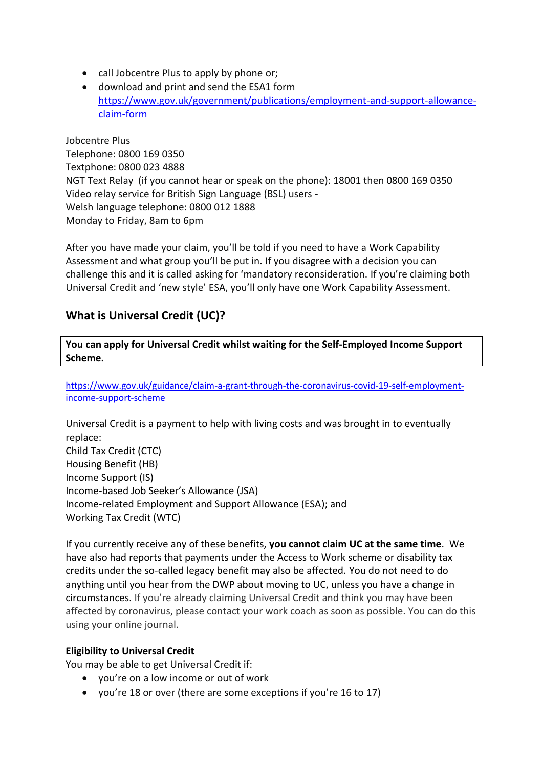- call Jobcentre Plus to apply by phone or;
- download and print and send the ESA1 form [https://www.gov.uk/government/publications/employment-and-support-allowance](https://www.gov.uk/government/publications/employment-and-support-allowance-claim-form)[claim-form](https://www.gov.uk/government/publications/employment-and-support-allowance-claim-form)

Jobcentre Plus Telephone: 0800 169 0350 Textphone: 0800 023 4888 NGT Text Relay (if you cannot hear or speak on the phone): 18001 then 0800 169 0350 Video relay service for British Sign Language (BSL) users - Welsh language telephone: 0800 012 1888 Monday to Friday, 8am to 6pm

After you have made your claim, you'll be told if you need to have a Work Capability Assessment and what group you'll be put in. If you disagree with a decision you can challenge this and it is called asking for 'mandatory reconsideration. If you're claiming both Universal Credit and 'new style' ESA, you'll only have one Work Capability Assessment.

## **What is Universal Credit (UC)?**

**You can apply for Universal Credit whilst waiting for the Self-Employed Income Support Scheme.**

[https://www.gov.uk/guidance/claim-a-grant-through-the-coronavirus-covid-19-self-employment](https://www.gov.uk/guidance/claim-a-grant-through-the-coronavirus-covid-19-self-employment-income-support-scheme)[income-support-scheme](https://www.gov.uk/guidance/claim-a-grant-through-the-coronavirus-covid-19-self-employment-income-support-scheme)

Universal Credit is a payment to help with living costs and was brought in to eventually replace: Child Tax Credit (CTC) Housing Benefit (HB) Income Support (IS) Income-based Job Seeker's Allowance (JSA) Income-related Employment and Support Allowance (ESA); and Working Tax Credit (WTC)

If you currently receive any of these benefits, **you cannot claim UC at the same time**. We have also had reports that payments under the Access to Work scheme or disability tax credits under the so-called legacy benefit may also be affected. You do not need to do anything until you hear from the DWP about moving to UC, unless you have a change in circumstances. If you're already claiming Universal Credit and think you may have been affected by coronavirus, please contact your work coach as soon as possible. You can do this using your online journal.

## **Eligibility to Universal Credit**

You may be able to get Universal Credit if:

- you're on a low income or out of work
- you're 18 or over (there are some exceptions if you're 16 to 17)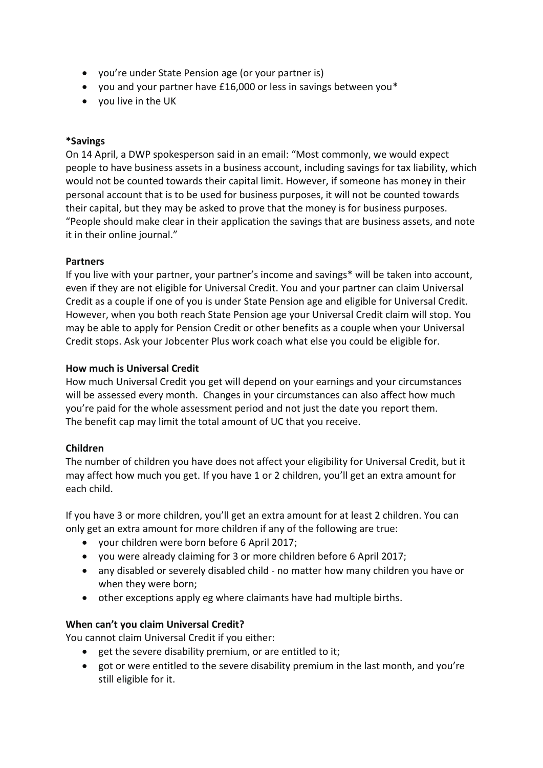- you're under State Pension age (or your partner is)
- you and your partner have £16,000 or less in savings between you\*
- you live in the UK

#### **\*Savings**

On 14 April, a DWP spokesperson said in an email: "Most commonly, we would expect people to have business assets in a business account, including savings for tax liability, which would not be counted towards their capital limit. However, if someone has money in their personal account that is to be used for business purposes, it will not be counted towards their capital, but they may be asked to prove that the money is for business purposes. "People should make clear in their application the savings that are business assets, and note it in their online journal."

#### **Partners**

If you live with your partner, your partner's income and savings\* will be taken into account, even if they are not eligible for Universal Credit. You and your partner can claim Universal Credit as a couple if one of you is under State Pension age and eligible for Universal Credit. However, when you both reach State Pension age your Universal Credit claim will stop. You may be able to apply for Pension Credit or other benefits as a couple when your Universal Credit stops. Ask your Jobcenter Plus work coach what else you could be eligible for.

#### **How much is Universal Credit**

How much Universal Credit you get will depend on your earnings and your circumstances will be assessed every month. Changes in your circumstances can also affect how much you're paid for the whole assessment period and not just the date you report them. The benefit cap may limit the total amount of UC that you receive.

## **Children**

The number of children you have does not affect your eligibility for Universal Credit, but it may affect how much you get. If you have 1 or 2 children, you'll get an extra amount for each child.

If you have 3 or more children, you'll get an extra amount for at least 2 children. You can only get an extra amount for more children if any of the following are true:

- your children were born before 6 April 2017;
- you were already claiming for 3 or more children before 6 April 2017;
- any disabled or severely disabled child no matter how many children you have or when they were born;
- other exceptions apply eg where claimants have had multiple births.

## **When can't you claim Universal Credit?**

You cannot claim Universal Credit if you either:

- get the severe disability premium, or are entitled to it;
- got or were entitled to the severe disability premium in the last month, and you're still eligible for it.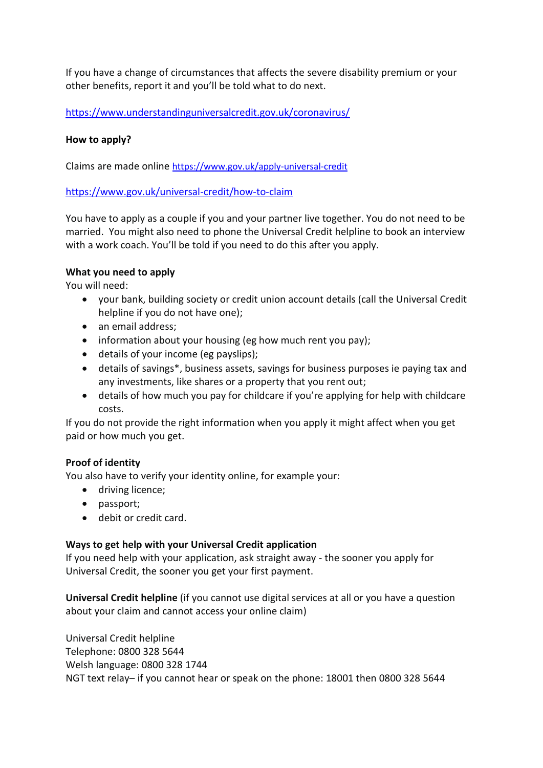If you have a change of circumstances that affects the severe disability premium or your other benefits, report it and you'll be told what to do next.

<https://www.understandinguniversalcredit.gov.uk/coronavirus/>

#### **How to apply?**

Claims are made online <https://www.gov.uk/apply-universal-credit>

<https://www.gov.uk/universal-credit/how-to-claim>

You have to apply as a couple if you and your partner live together. You do not need to be married. You might also need to phone the Universal Credit helpline to book an interview with a work coach. You'll be told if you need to do this after you apply.

#### **What you need to apply**

You will need:

- your bank, building society or credit union account details (call the Universal Credit helpline if you do not have one);
- an email address:
- information about your housing (eg how much rent you pay);
- details of your income (eg payslips);
- details of savings\*, business assets, savings for business purposes ie paying tax and any investments, like shares or a property that you rent out;
- details of how much you pay for childcare if you're applying for help with childcare costs.

If you do not provide the right information when you apply it might affect when you get paid or how much you get.

#### **Proof of identity**

You also have to verify your identity online, for example your:

- driving licence;
- passport;
- debit or credit card.

#### **Ways to get help with your Universal Credit application**

If you need help with your application, ask straight away - the sooner you apply for Universal Credit, the sooner you get your first payment.

**Universal Credit helpline** (if you cannot use digital services at all or you have a question about your claim and cannot access your online claim)

Universal Credit helpline Telephone: 0800 328 5644 Welsh language: 0800 328 1744 NGT text relay– if you cannot hear or speak on the phone: 18001 then 0800 328 5644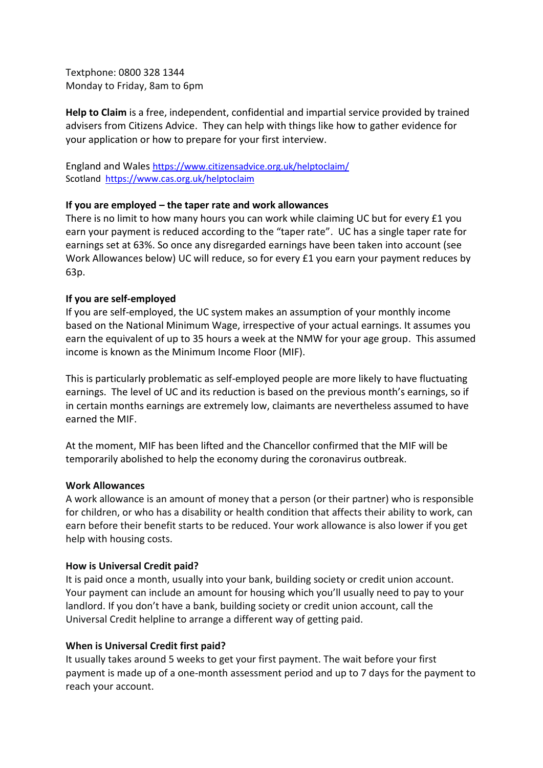Textphone: 0800 328 1344 Monday to Friday, 8am to 6pm

**Help to Claim** is a free, independent, confidential and impartial service provided by trained advisers from Citizens Advice. They can help with things like how to gather evidence for your application or how to prepare for your first interview.

England and Wales <https://www.citizensadvice.org.uk/helptoclaim/> Scotland<https://www.cas.org.uk/helptoclaim>

#### **If you are employed – the taper rate and work allowances**

There is no limit to how many hours you can work while claiming UC but for every £1 you earn your payment is reduced according to the "taper rate". UC has a single taper rate for earnings set at 63%. So once any disregarded earnings have been taken into account (see Work Allowances below) UC will reduce, so for every £1 you earn your payment reduces by 63p.

#### **If you are self-employed**

If you are self-employed, the UC system makes an assumption of your monthly income based on the National Minimum Wage, irrespective of your actual earnings. It assumes you earn the equivalent of up to 35 hours a week at the NMW for your age group. This assumed income is known as the Minimum Income Floor (MIF).

This is particularly problematic as self-employed people are more likely to have fluctuating earnings. The level of UC and its reduction is based on the previous month's earnings, so if in certain months earnings are extremely low, claimants are nevertheless assumed to have earned the MIF.

At the moment, MIF has been lifted and the Chancellor confirmed that the MIF will be temporarily abolished to help the economy during the coronavirus outbreak.

#### **Work Allowances**

A work allowance is an amount of money that a person (or their partner) who is responsible for children, or who has a disability or health condition that affects their ability to work, can earn before their benefit starts to be reduced. Your work allowance is also lower if you get help with housing costs.

#### **How is Universal Credit paid?**

It is paid once a month, usually into your bank, building society or credit union account. Your payment can include an amount for housing which you'll usually need to pay to your landlord. If you don't have a bank, building society or credit union account, call the Universal Credit helpline to arrange a different way of getting paid.

#### **When is Universal Credit first paid?**

It usually takes around 5 weeks to get your first payment. The wait before your first payment is made up of a one-month assessment period and up to 7 days for the payment to reach your account.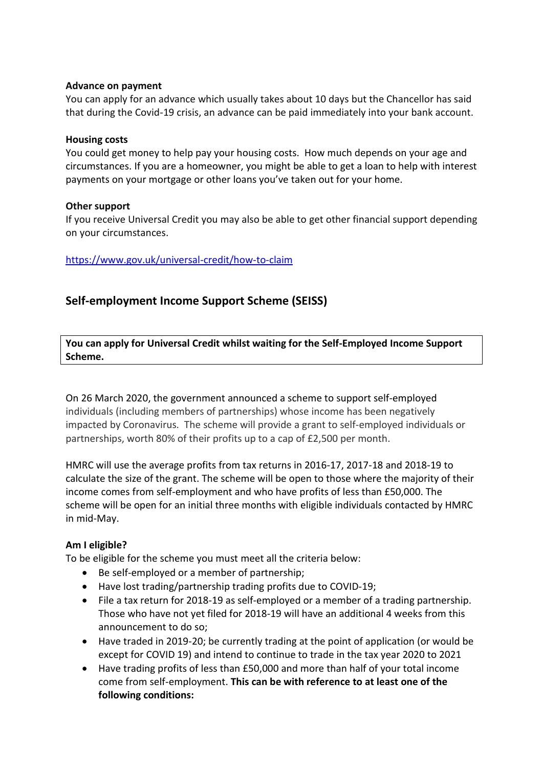#### **Advance on payment**

You can apply for an advance which usually takes about 10 days but the Chancellor has said that during the Covid-19 crisis, an advance can be paid immediately into your bank account.

#### **Housing costs**

You could get money to help pay your housing costs. How much depends on your age and circumstances. If you are a homeowner, you might be able to get a loan to help with interest payments on your mortgage or other loans you've taken out for your home.

#### **Other support**

If you receive Universal Credit you may also be able to get other financial support depending on your circumstances.

<https://www.gov.uk/universal-credit/how-to-claim>

## **Self-employment Income Support Scheme (SEISS)**

**You can apply for Universal Credit whilst waiting for the Self-Employed Income Support Scheme.**

On 26 March 2020, the government announced a scheme to support self-employed individuals (including members of partnerships) whose income has been negatively impacted by Coronavirus. The scheme will provide a grant to self-employed individuals or partnerships, worth 80% of their profits up to a cap of £2,500 per month.

HMRC will use the average profits from tax returns in 2016-17, 2017-18 and 2018-19 to calculate the size of the grant. The scheme will be open to those where the majority of their income comes from self-employment and who have profits of less than £50,000. The scheme will be open for an initial three months with eligible individuals contacted by HMRC in mid-May.

#### **Am I eligible?**

To be eligible for the scheme you must meet all the criteria below:

- Be self-employed or a member of partnership;
- Have lost trading/partnership trading profits due to COVID-19;
- File a tax return for 2018-19 as self-employed or a member of a trading partnership. Those who have not yet filed for 2018-19 will have an additional 4 weeks from this announcement to do so;
- Have traded in 2019-20; be currently trading at the point of application (or would be except for COVID 19) and intend to continue to trade in the tax year 2020 to 2021
- Have trading profits of less than £50,000 and more than half of your total income come from self-employment. **This can be with reference to at least one of the following conditions:**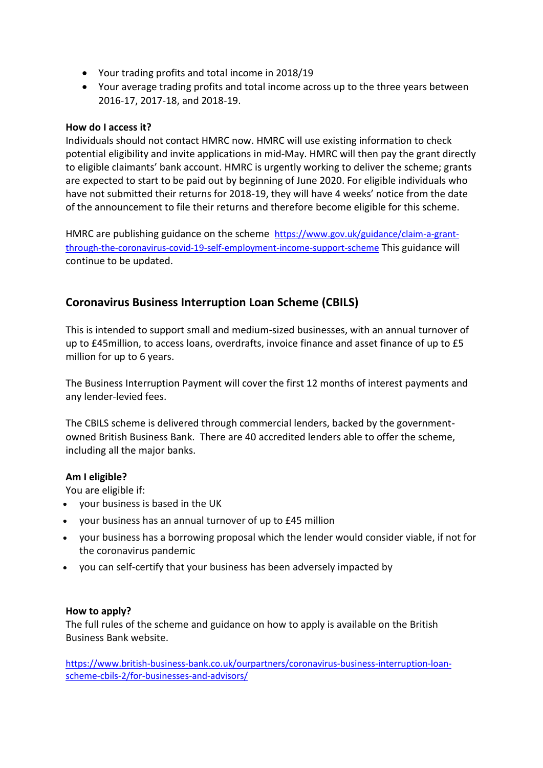- Your trading profits and total income in 2018/19
- Your average trading profits and total income across up to the three years between 2016-17, 2017-18, and 2018-19.

## **How do I access it?**

Individuals should not contact HMRC now. HMRC will use existing information to check potential eligibility and invite applications in mid-May. HMRC will then pay the grant directly to eligible claimants' bank account. HMRC is urgently working to deliver the scheme; grants are expected to start to be paid out by beginning of June 2020. For eligible individuals who have not submitted their returns for 2018-19, they will have 4 weeks' notice from the date of the announcement to file their returns and therefore become eligible for this scheme.

HMRC are publishing guidance on the scheme [https://www.gov.uk/guidance/claim-a-grant](https://www.gov.uk/guidance/claim-a-grant-through-the-coronavirus-covid-19-self-employment-income-support-scheme)[through-the-coronavirus-covid-19-self-employment-income-support-scheme](https://www.gov.uk/guidance/claim-a-grant-through-the-coronavirus-covid-19-self-employment-income-support-scheme) This guidance will continue to be updated.

## **Coronavirus Business Interruption Loan Scheme (CBILS)**

This is intended to support small and medium-sized businesses, with an annual turnover of up to £45million, to access loans, overdrafts, invoice finance and asset finance of up to £5 million for up to 6 years.

The Business Interruption Payment will cover the first 12 months of interest payments and any lender-levied fees.

The CBILS scheme is delivered through commercial lenders, backed by the governmentowned British Business Bank. There are 40 accredited lenders able to offer the scheme, including all the major banks.

## **Am I eligible?**

You are eligible if:

- your business is based in the UK
- your business has an annual turnover of up to £45 million
- your business has a borrowing proposal which the lender would consider viable, if not for the coronavirus pandemic
- you can self-certify that your business has been adversely impacted by

## **How to apply?**

The full rules of the scheme and guidance on how to apply is available on the British Business Bank website.

[https://www.british-business-bank.co.uk/ourpartners/coronavirus-business-interruption-loan](https://www.british-business-bank.co.uk/ourpartners/coronavirus-business-interruption-loan-scheme-cbils-2/for-businesses-and-advisors/)[scheme-cbils-2/for-businesses-and-advisors/](https://www.british-business-bank.co.uk/ourpartners/coronavirus-business-interruption-loan-scheme-cbils-2/for-businesses-and-advisors/)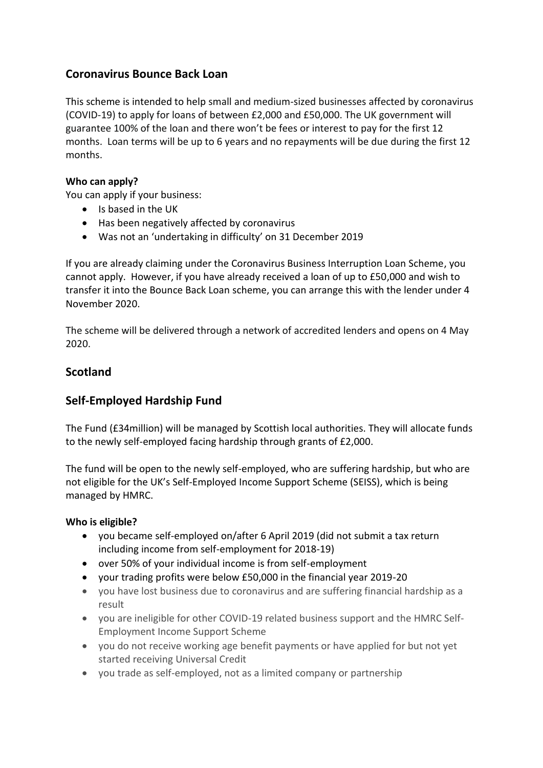## **Coronavirus Bounce Back Loan**

This scheme is intended to help small and medium-sized businesses affected by coronavirus (COVID-19) to apply for loans of between £2,000 and £50,000. The UK government will guarantee 100% of the loan and there won't be fees or interest to pay for the first 12 months. Loan terms will be up to 6 years and no repayments will be due during the first 12 months.

### **Who can apply?**

You can apply if your business:

- Is based in the UK
- Has been negatively affected by coronavirus
- Was not an 'undertaking in difficulty' on 31 December 2019

If you are already claiming under the Coronavirus Business Interruption Loan Scheme, you cannot apply. However, if you have already received a loan of up to £50,000 and wish to transfer it into the Bounce Back Loan scheme, you can arrange this with the lender under 4 November 2020.

The scheme will be delivered through a network of accredited lenders and opens on 4 May 2020.

## **Scotland**

## **Self-Employed Hardship Fund**

The Fund (£34million) will be managed by Scottish local authorities. They will allocate funds to the newly self-employed facing hardship through grants of £2,000.

The fund will be open to the newly self-employed, who are suffering hardship, but who are not eligible for the UK's Self-Employed Income Support Scheme (SEISS), which is being managed by HMRC.

#### **Who is eligible?**

- you became self-employed on/after 6 April 2019 (did not submit a tax return including income from self-employment for 2018-19)
- over 50% of your individual income is from self-employment
- your trading profits were below £50,000 in the financial year 2019-20
- you have lost business due to coronavirus and are suffering financial hardship as a result
- you are ineligible for other COVID-19 related business support and the HMRC Self-Employment Income Support Scheme
- you do not receive working age benefit payments or have applied for but not yet started receiving Universal Credit
- you trade as self-employed, not as a limited company or partnership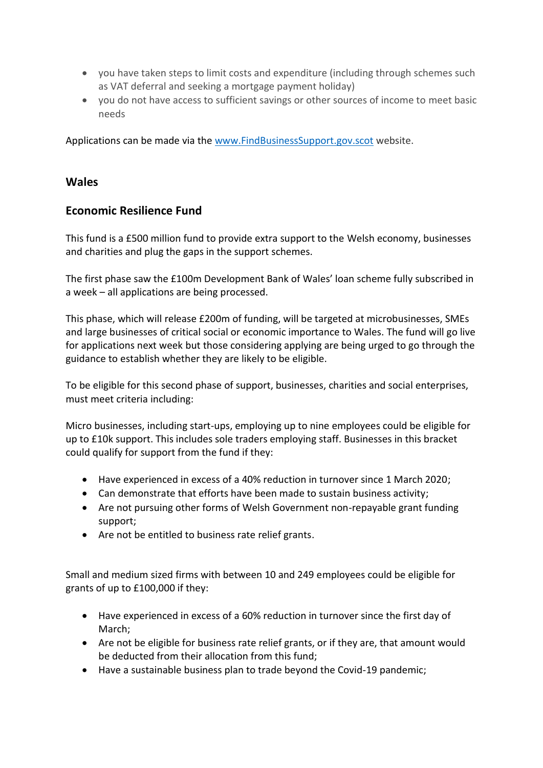- you have taken steps to limit costs and expenditure (including through schemes such as VAT deferral and seeking a mortgage payment holiday)
- you do not have access to sufficient savings or other sources of income to meet basic needs

Applications can be made via the [www.FindBusinessSupport.gov.scot](http://www.findbusinesssupport.gov.scot/) website.

## **Wales**

## **Economic Resilience Fund**

This fund is a £500 million fund to provide extra support to the Welsh economy, businesses and charities and plug the gaps in the support schemes.

The first phase saw the £100m Development Bank of Wales' loan scheme fully subscribed in a week – all applications are being processed.

This phase, which will release £200m of funding, will be targeted at microbusinesses, SMEs and large businesses of critical social or economic importance to Wales. The fund will go live for applications next week but those considering applying are being urged to go through the guidance to establish whether they are likely to be eligible.

To be eligible for this second phase of support, businesses, charities and social enterprises, must meet criteria including:

Micro businesses, including start-ups, employing up to nine employees could be eligible for up to £10k support. This includes sole traders employing staff. Businesses in this bracket could qualify for support from the fund if they:

- Have experienced in excess of a 40% reduction in turnover since 1 March 2020;
- Can demonstrate that efforts have been made to sustain business activity;
- Are not pursuing other forms of Welsh Government non-repayable grant funding support;
- Are not be entitled to business rate relief grants.

Small and medium sized firms with between 10 and 249 employees could be eligible for grants of up to £100,000 if they:

- Have experienced in excess of a 60% reduction in turnover since the first day of March;
- Are not be eligible for business rate relief grants, or if they are, that amount would be deducted from their allocation from this fund;
- Have a sustainable business plan to trade beyond the Covid-19 pandemic;